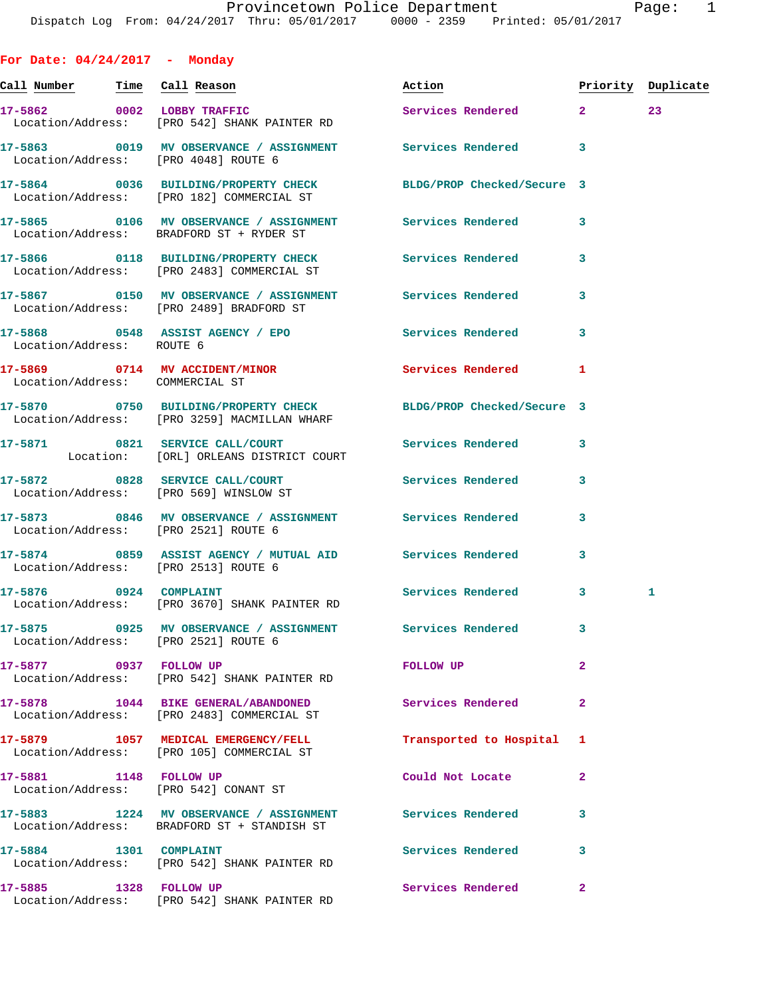**For Date: 04/24/2017 - Monday Call Number Time Call Reason Action Priority Duplicate 17-5862 0002 LOBBY TRAFFIC Services Rendered 2 23**  Location/Address: [PRO 542] SHANK PAINTER RD **17-5863 0019 MV OBSERVANCE / ASSIGNMENT Services Rendered 3**  Location/Address: [PRO 4048] ROUTE 6 **17-5864 0036 BUILDING/PROPERTY CHECK BLDG/PROP Checked/Secure 3**  Location/Address: [PRO 182] COMMERCIAL ST **17-5865 0106 MV OBSERVANCE / ASSIGNMENT Services Rendered 3**  Location/Address: BRADFORD ST + RYDER ST **17-5866 0118 BUILDING/PROPERTY CHECK Services Rendered 3**  Location/Address: [PRO 2483] COMMERCIAL ST **17-5867 0150 MV OBSERVANCE / ASSIGNMENT Services Rendered 3**  Location/Address: [PRO 2489] BRADFORD ST **17-5868 0548 ASSIST AGENCY / EPO Services Rendered 3**  Location/Address: ROUTE 6 **17-5869 0714 MV ACCIDENT/MINOR Services Rendered 1**  Location/Address: COMMERCIAL ST **17-5870 0750 BUILDING/PROPERTY CHECK BLDG/PROP Checked/Secure 3**  Location/Address: [PRO 3259] MACMILLAN WHARF **17-5871 0821 SERVICE CALL/COURT Services Rendered 3**  Location: [ORL] ORLEANS DISTRICT COURT **17-5872 0828 SERVICE CALL/COURT Services Rendered 3**  Location/Address: [PRO 569] WINSLOW ST **17-5873 0846 MV OBSERVANCE / ASSIGNMENT Services Rendered 3**  Location/Address: [PRO 2521] ROUTE 6 **17-5874 0859 ASSIST AGENCY / MUTUAL AID Services Rendered 3**  Location/Address: [PRO 2513] ROUTE 6 17-5876 0924 COMPLAINT Services Rendered 3 1 Location/Address: [PRO 3670] SHANK PAINTER RD **17-5875 0925 MV OBSERVANCE / ASSIGNMENT Services Rendered 3**  Location/Address: [PRO 2521] ROUTE 6 **17-5877 0937 FOLLOW UP FOLLOW UP 2**  Location/Address: [PRO 542] SHANK PAINTER RD **17-5878 1044 BIKE GENERAL/ABANDONED Services Rendered 2**  Location/Address: [PRO 2483] COMMERCIAL ST

**17-5879 1057 MEDICAL EMERGENCY/FELL Transported to Hospital 1**  Location/Address: [PRO 105] COMMERCIAL ST **17-5881 1148 FOLLOW UP Could Not Locate 2**  Location/Address: [PRO 542] CONANT ST **17-5883 1224 MV OBSERVANCE / ASSIGNMENT Services Rendered 3**  Location/Address: BRADFORD ST + STANDISH ST 17-5884 1301 COMPLAINT **17-5884** 1301 COMPLAINT Location/Address: [PRO 542] SHANK PAINTER RD **17-5885 1328 FOLLOW UP Services Rendered 2** 

Location/Address: [PRO 542] SHANK PAINTER RD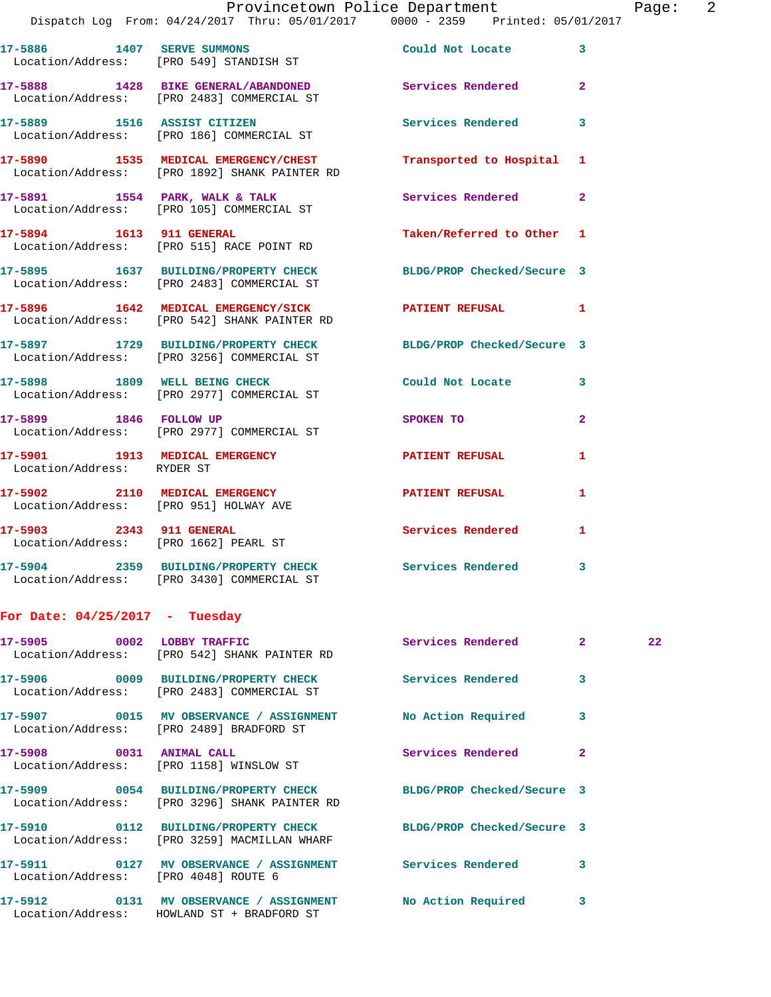|                                  |                                                                                                                 | Provincetown Police Department |              | Page: 2 |  |
|----------------------------------|-----------------------------------------------------------------------------------------------------------------|--------------------------------|--------------|---------|--|
|                                  | Dispatch Log From: 04/24/2017 Thru: 05/01/2017 0000 - 2359 Printed: 05/01/2017                                  |                                |              |         |  |
|                                  | 17-5886 1407 SERVE SUMMONS Could Not Locate 3<br>Location/Address: [PRO 549] STANDISH ST                        |                                |              |         |  |
|                                  | 17-5888 1428 BIKE GENERAL/ABANDONED Services Rendered 2<br>Location/Address: [PRO 2483] COMMERCIAL ST           |                                |              |         |  |
|                                  | 17-5889 1516 ASSIST CITIZEN<br>Location/Address: [PRO 186] COMMERCIAL ST                                        | Services Rendered 3            |              |         |  |
|                                  | 17-5890 1535 MEDICAL EMERGENCY/CHEST Transported to Hospital 1<br>Location/Address: [PRO 1892] SHANK PAINTER RD |                                |              |         |  |
|                                  | 17-5891 1554 PARK, WALK & TALK 1999 Services Rendered 2<br>Location/Address: [PRO 105] COMMERCIAL ST            |                                |              |         |  |
|                                  | 17-5894 1613 911 GENERAL<br>Location/Address: [PRO 515] RACE POINT RD                                           | Taken/Referred to Other 1      |              |         |  |
|                                  | 17-5895 1637 BUILDING/PROPERTY CHECK BLDG/PROP Checked/Secure 3<br>Location/Address: [PRO 2483] COMMERCIAL ST   |                                |              |         |  |
|                                  | 17-5896 1642 MEDICAL EMERGENCY/SICK PATIENT REFUSAL 1<br>Location/Address: [PRO 542] SHANK PAINTER RD           |                                |              |         |  |
|                                  | 17-5897 1729 BUILDING/PROPERTY CHECK BLDG/PROP Checked/Secure 3<br>Location/Address: [PRO 3256] COMMERCIAL ST   |                                |              |         |  |
|                                  | 17-5898 1809 WELL BEING CHECK<br>Location/Address: [PRO 2977] COMMERCIAL ST                                     | Could Not Locate 3             |              |         |  |
|                                  | 17-5899 1846 FOLLOW UP<br>Location/Address: [PRO 2977] COMMERCIAL ST                                            | SPOKEN TO                      | $\mathbf{2}$ |         |  |
| Location/Address: RYDER ST       | 17-5901 1913 MEDICAL EMERGENCY PATIENT REFUSAL                                                                  |                                | $\mathbf{1}$ |         |  |
|                                  | 17-5902 2110 MEDICAL EMERGENCY PATIENT REFUSAL 1<br>Location/Address: [PRO 951] HOLWAY AVE                      |                                |              |         |  |
|                                  | 17-5903 2343 911 GENERAL<br>Location/Address: [PRO 1662] PEARL ST                                               | Services Rendered              | 1            |         |  |
|                                  | 17-5904 2359 BUILDING/PROPERTY CHECK<br>Location/Address: [PRO 3430] COMMERCIAL ST                              | Services Rendered              | 3            |         |  |
| For Date: $04/25/2017$ - Tuesday |                                                                                                                 |                                |              |         |  |
| 17-5905 0002 LOBBY TRAFFIC       | Location/Address: [PRO 542] SHANK PAINTER RD                                                                    | Services Rendered              | 2            | 22      |  |

**17-5906 0009 BUILDING/PROPERTY CHECK Services Rendered 3**  Location/Address: [PRO 2483] COMMERCIAL ST **17-5907 0015 MV OBSERVANCE / ASSIGNMENT No Action Required 3**  Location/Address: [PRO 2489] BRADFORD ST 17-5908 0031 ANIMAL CALL **Services Rendered** 2 Location/Address: [PRO 1158] WINSLOW ST **17-5909 0054 BUILDING/PROPERTY CHECK BLDG/PROP Checked/Secure 3**  Location/Address: [PRO 3296] SHANK PAINTER RD **17-5910 0112 BUILDING/PROPERTY CHECK BLDG/PROP Checked/Secure 3**  Location/Address: [PRO 3259] MACMILLAN WHARF 17-5911 **17-5911** 0127 MV OBSERVANCE / ASSIGNMENT Services Rendered 3 Location/Address: [PRO 4048] ROUTE 6 **17-5912 0131 MV OBSERVANCE / ASSIGNMENT No Action Required 3**  Location/Address: HOWLAND ST + BRADFORD ST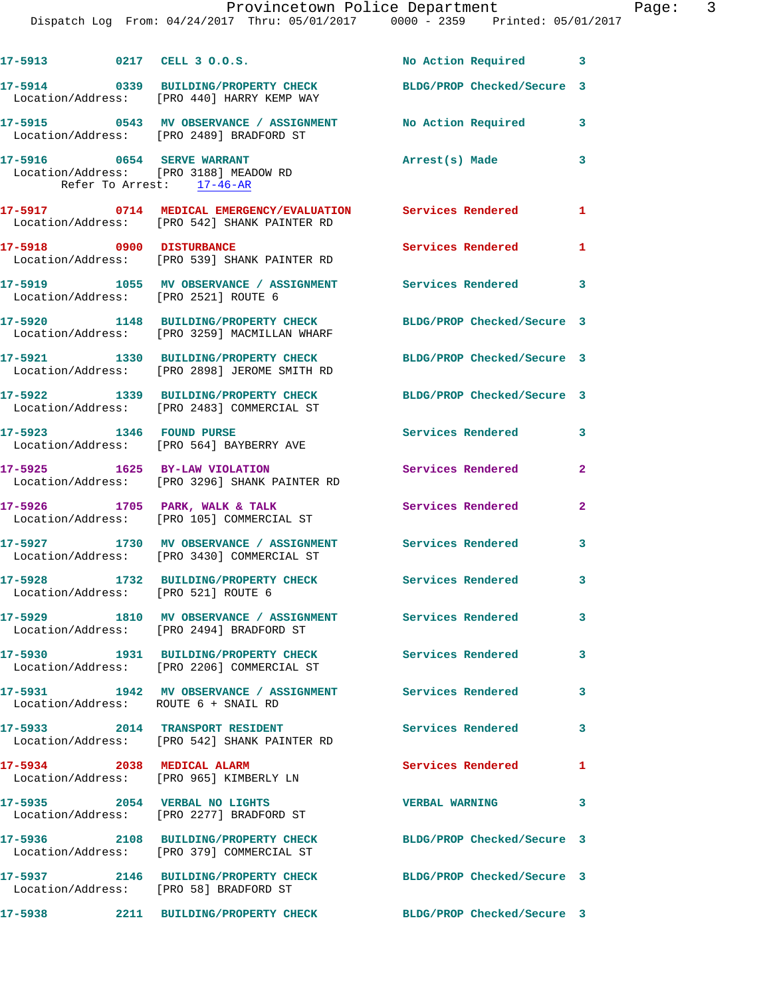|                                                         | 17-5913 0217 CELL 3 0.0.S.                                                                                    | No Action Required 3       |                          |
|---------------------------------------------------------|---------------------------------------------------------------------------------------------------------------|----------------------------|--------------------------|
|                                                         | 17-5914 0339 BUILDING/PROPERTY CHECK<br>Location/Address: [PRO 440] HARRY KEMP WAY                            | BLDG/PROP Checked/Secure 3 |                          |
|                                                         | 17-5915 0543 MV OBSERVANCE / ASSIGNMENT No Action Required<br>Location/Address: [PRO 2489] BRADFORD ST        |                            | 3                        |
| 17-5916 0654 SERVE WARRANT<br>Refer To Arrest: 17-46-AR | Location/Address: [PRO 3188] MEADOW RD                                                                        | Arrest(s) Made             | 3                        |
|                                                         | 17-5917 0714 MEDICAL EMERGENCY/EVALUATION Services Rendered 1<br>Location/Address: [PRO 542] SHANK PAINTER RD |                            |                          |
| 17-5918 0900 DISTURBANCE                                | Location/Address: [PRO 539] SHANK PAINTER RD                                                                  | Services Rendered          | 1                        |
| Location/Address: [PRO 2521] ROUTE 6                    | 17-5919 1055 MV OBSERVANCE / ASSIGNMENT Services Rendered                                                     |                            | $\overline{\phantom{a}}$ |
|                                                         | 17-5920 1148 BUILDING/PROPERTY CHECK<br>Location/Address: [PRO 3259] MACMILLAN WHARF                          | BLDG/PROP Checked/Secure 3 |                          |
|                                                         | 17-5921 1330 BUILDING/PROPERTY CHECK<br>Location/Address: [PRO 2898] JEROME SMITH RD                          | BLDG/PROP Checked/Secure 3 |                          |
|                                                         | 17-5922 1339 BUILDING/PROPERTY CHECK<br>Location/Address: [PRO 2483] COMMERCIAL ST                            | BLDG/PROP Checked/Secure 3 |                          |
| 17-5923 1346 FOUND PURSE                                | Location/Address: [PRO 564] BAYBERRY AVE                                                                      | <b>Services Rendered</b>   | $\mathbf{3}$             |
| 17-5925 1625 BY-LAW VIOLATION                           | Location/Address: [PRO 3296] SHANK PAINTER RD                                                                 | Services Rendered          | $\mathbf{2}$             |
|                                                         | 17-5926 1705 PARK, WALK & TALK<br>Location/Address: [PRO 105] COMMERCIAL ST                                   | Services Rendered          | $\mathbf{2}$             |
|                                                         | 17-5927 1730 MV OBSERVANCE / ASSIGNMENT Services Rendered<br>Location/Address: [PRO 3430] COMMERCIAL ST       |                            | 3                        |
| Location/Address: [PRO 521] ROUTE 6                     | 17-5928 1732 BUILDING/PROPERTY CHECK Services Rendered 3                                                      |                            |                          |
|                                                         | 17-5929 1810 MV OBSERVANCE / ASSIGNMENT Services Rendered<br>Location/Address: [PRO 2494] BRADFORD ST         |                            | 3                        |
|                                                         | 17-5930 1931 BUILDING/PROPERTY CHECK<br>Location/Address: [PRO 2206] COMMERCIAL ST                            | <b>Services Rendered</b>   | 3                        |
| Location/Address: ROUTE 6 + SNAIL RD                    | 17-5931 1942 MV OBSERVANCE / ASSIGNMENT Services Rendered                                                     |                            | 3                        |
|                                                         | 17-5933 2014 TRANSPORT RESIDENT<br>Location/Address: [PRO 542] SHANK PAINTER RD                               | Services Rendered          | 3                        |
| 17-5934 2038 MEDICAL ALARM                              | Location/Address: [PRO 965] KIMBERLY LN                                                                       | <b>Services Rendered</b>   | 1                        |
|                                                         | 17-5935 2054 VERBAL NO LIGHTS<br>Location/Address: [PRO 2277] BRADFORD ST                                     | <b>VERBAL WARNING</b>      | 3                        |
|                                                         | 17-5936 2108 BUILDING/PROPERTY CHECK BLDG/PROP Checked/Secure 3<br>Location/Address: [PRO 379] COMMERCIAL ST  |                            |                          |
| Location/Address: [PRO 58] BRADFORD ST                  | 17-5937 2146 BUILDING/PROPERTY CHECK                                                                          | BLDG/PROP Checked/Secure 3 |                          |
| 17-5938                                                 | 2211 BUILDING/PROPERTY CHECK                                                                                  | BLDG/PROP Checked/Secure 3 |                          |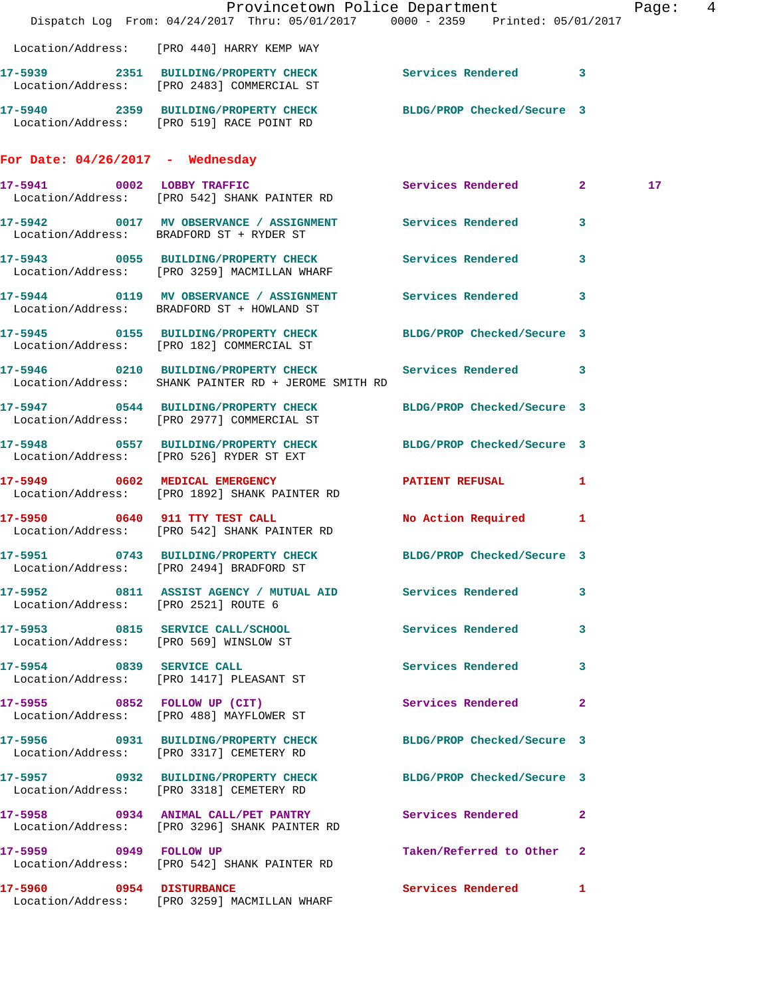|                                      | Dispatch Log From: 04/24/2017 Thru: 05/01/2017 0000 - 2359 Printed: 05/01/2017                                   | Provincetown Police Department | Page:  4        |  |
|--------------------------------------|------------------------------------------------------------------------------------------------------------------|--------------------------------|-----------------|--|
|                                      | Location/Address: [PRO 440] HARRY KEMP WAY                                                                       |                                |                 |  |
|                                      | 17-5939 2351 BUILDING/PROPERTY CHECK Services Rendered 3<br>Location/Address: [PRO 2483] COMMERCIAL ST           |                                |                 |  |
|                                      | 17-5940 2359 BUILDING/PROPERTY CHECK BLDG/PROP Checked/Secure 3<br>Location/Address: [PRO 519] RACE POINT RD     |                                |                 |  |
| For Date: $04/26/2017$ - Wednesday   |                                                                                                                  |                                |                 |  |
|                                      | 17-5941 0002 LOBBY TRAFFIC Services Rendered 2<br>Location/Address: [PRO 542] SHANK PAINTER RD                   |                                | 17 <sub>1</sub> |  |
|                                      | 17-5942 0017 MV OBSERVANCE / ASSIGNMENT Services Rendered 3<br>Location/Address: BRADFORD ST + RYDER ST          |                                |                 |  |
|                                      | 17-5943 0055 BUILDING/PROPERTY CHECK Services Rendered 3<br>Location/Address: [PRO 3259] MACMILLAN WHARF         |                                |                 |  |
|                                      | 17-5944 0119 MV OBSERVANCE / ASSIGNMENT Services Rendered 3<br>Location/Address: BRADFORD ST + HOWLAND ST        |                                |                 |  |
|                                      | 17-5945 0155 BUILDING/PROPERTY CHECK BLDG/PROP Checked/Secure 3<br>Location/Address: [PRO 182] COMMERCIAL ST     |                                |                 |  |
|                                      | 17-5946 0210 BUILDING/PROPERTY CHECK Services Rendered 3<br>Location/Address: SHANK PAINTER RD + JEROME SMITH RD |                                |                 |  |
|                                      | 17-5947 0544 BUILDING/PROPERTY CHECK<br>Location/Address: [PRO 2977] COMMERCIAL ST                               | BLDG/PROP Checked/Secure 3     |                 |  |
|                                      | 17-5948 0557 BUILDING/PROPERTY CHECK BLDG/PROP Checked/Secure 3<br>Location/Address: [PRO 526] RYDER ST EXT      |                                |                 |  |
|                                      | 17-5949 0602 MEDICAL EMERGENCY PATIENT REFUSAL 1<br>Location/Address: [PRO 1892] SHANK PAINTER RD                |                                |                 |  |
|                                      | 17-5950 0640 911 TTY TEST CALL<br>Location/Address: [PRO 542] SHANK PAINTER RD                                   | No Action Required 1           |                 |  |
|                                      | 17-5951 0743 BUILDING/PROPERTY CHECK BLDG/PROP Checked/Secure 3<br>Location/Address: [PRO 2494] BRADFORD ST      |                                |                 |  |
| Location/Address: [PRO 2521] ROUTE 6 | 17-5952 0811 ASSIST AGENCY / MUTUAL AID Services Rendered 3                                                      |                                |                 |  |
|                                      | 17-5953 0815 SERVICE CALL/SCHOOL<br>Location/Address: [PRO 569] WINSLOW ST                                       | Services Rendered 3            |                 |  |
|                                      | 17-5954 0839 SERVICE CALL<br>Location/Address: [PRO 1417] PLEASANT ST                                            | Services Rendered 3            |                 |  |
|                                      | 17-5955 0852 FOLLOW UP (CIT)<br>Location/Address: [PRO 488] MAYFLOWER ST                                         | Services Rendered 2            |                 |  |
|                                      | 17-5956 0931 BUILDING/PROPERTY CHECK BLDG/PROP Checked/Secure 3<br>Location/Address: [PRO 3317] CEMETERY RD      |                                |                 |  |
|                                      | 17-5957 0932 BUILDING/PROPERTY CHECK BLDG/PROP Checked/Secure 3<br>Location/Address: [PRO 3318] CEMETERY RD      |                                |                 |  |
|                                      | 17-5958 0934 ANIMAL CALL/PET PANTRY Services Rendered 2<br>Location/Address: [PRO 3296] SHANK PAINTER RD         |                                |                 |  |
|                                      | 17-5959 0949 FOLLOW UP<br>Location/Address: [PRO 542] SHANK PAINTER RD                                           | Taken/Referred to Other 2      |                 |  |
|                                      | 17-5960 0954 DISTURBANCE<br>Location/Address: [PRO 3259] MACMILLAN WHARF                                         | Services Rendered 1            |                 |  |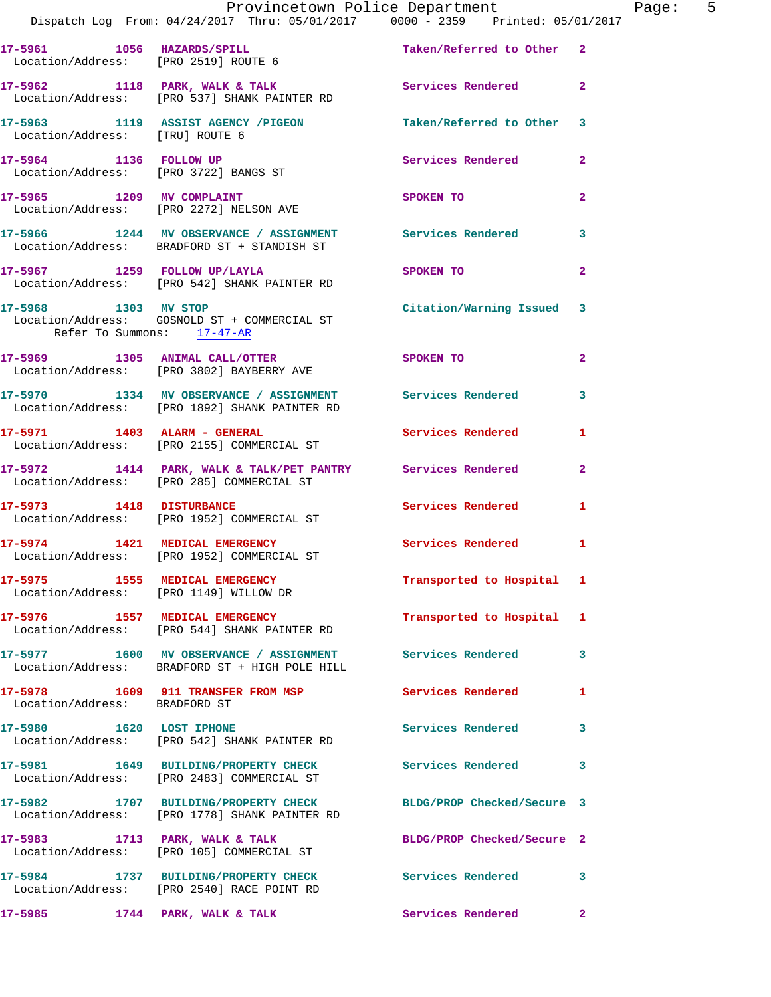|                               | Provincetown Police Department<br>Dispatch Log From: 04/24/2017 Thru: 05/01/2017 0000 - 2359 Printed: 05/01/2017 |                            | Page: 5      |
|-------------------------------|------------------------------------------------------------------------------------------------------------------|----------------------------|--------------|
|                               | 17-5961 1056 HAZARDS/SPILL Taken/Referred to Other 2<br>Location/Address: [PRO 2519] ROUTE 6                     |                            |              |
|                               | 17-5962 1118 PARK, WALK & TALK 1998 Services Rendered 2<br>Location/Address: [PRO 537] SHANK PAINTER RD          |                            |              |
|                               | 17-5963 1119 ASSIST AGENCY /PIGEON Taken/Referred to Other 3<br>Location/Address: [TRU] ROUTE 6                  |                            |              |
|                               | 17-5964 1136 FOLLOW UP<br>Location/Address: [PRO 3722] BANGS ST                                                  | Services Rendered          | $\mathbf{2}$ |
|                               | 17-5965 1209 MV COMPLAINT<br>Location/Address: [PRO 2272] NELSON AVE                                             | SPOKEN TO                  | $\mathbf{2}$ |
|                               | 17-5966 1244 MV OBSERVANCE / ASSIGNMENT Services Rendered<br>Location/Address: BRADFORD ST + STANDISH ST         |                            | 3            |
|                               | 17-5967 1259 FOLLOW UP/LAYLA 1259 SPOKEN TO<br>Location/Address: [PRO 542] SHANK PAINTER RD                      |                            | $\mathbf{2}$ |
| Refer To Summons: 17-47-AR    | 17-5968 1303 MV STOP<br>Location/Address: GOSNOLD ST + COMMERCIAL ST                                             | Citation/Warning Issued 3  |              |
|                               | 17-5969 1305 ANIMAL CALL/OTTER SPOKEN TO<br>Location/Address: [PRO 3802] BAYBERRY AVE                            |                            | $\mathbf{2}$ |
|                               | 17-5970 1334 MV OBSERVANCE / ASSIGNMENT Services Rendered 3<br>Location/Address: [PRO 1892] SHANK PAINTER RD     |                            |              |
|                               | 17-5971                1403    ALARM - GENERAL<br>Location/Address:     [PRO 2155] COMMERCIAL ST                 | <b>Services Rendered</b>   | 1            |
|                               | 17-5972 1414 PARK, WALK & TALK/PET PANTRY Services Rendered 2<br>Location/Address: [PRO 285] COMMERCIAL ST       |                            |              |
|                               | 17-5973 1418 DISTURBANCE<br>Location/Address: [PRO 1952] COMMERCIAL ST                                           | Services Rendered          | 1            |
|                               | 17-5974 1421 MEDICAL EMERGENCY Services Rendered 1<br>Location/Address: [PRO 1952] COMMERCIAL ST                 |                            |              |
|                               | 17-5975 1555 MEDICAL EMERGENCY<br>Location/Address: [PRO 1149] WILLOW DR                                         | Transported to Hospital 1  |              |
|                               | 17-5976 1557 MEDICAL EMERGENCY<br>Location/Address: [PRO 544] SHANK PAINTER RD                                   | Transported to Hospital 1  |              |
|                               | 17-5977 1600 MV OBSERVANCE / ASSIGNMENT Services Rendered 3<br>Location/Address: BRADFORD ST + HIGH POLE HILL    |                            |              |
| Location/Address: BRADFORD ST | 17-5978 1609 911 TRANSFER FROM MSP                                                                               | <b>Services Rendered</b>   | 1            |
| 17-5980 1620 LOST IPHONE      | Location/Address: [PRO 542] SHANK PAINTER RD                                                                     | Services Rendered 3        |              |
|                               | 17-5981 1649 BUILDING/PROPERTY CHECK Services Rendered<br>Location/Address: [PRO 2483] COMMERCIAL ST             |                            | 3            |
|                               | 17-5982 1707 BUILDING/PROPERTY CHECK BLDG/PROP Checked/Secure 3<br>Location/Address: [PRO 1778] SHANK PAINTER RD |                            |              |
|                               | 17-5983 1713 PARK, WALK & TALK<br>Location/Address: [PRO 105] COMMERCIAL ST                                      | BLDG/PROP Checked/Secure 2 |              |
|                               | 17-5984 1737 BUILDING/PROPERTY CHECK Services Rendered<br>Location/Address: [PRO 2540] RACE POINT RD             |                            | 3            |
|                               | 17-5985 1744 PARK, WALK & TALK                                                                                   | <b>Services Rendered</b>   | $\mathbf{2}$ |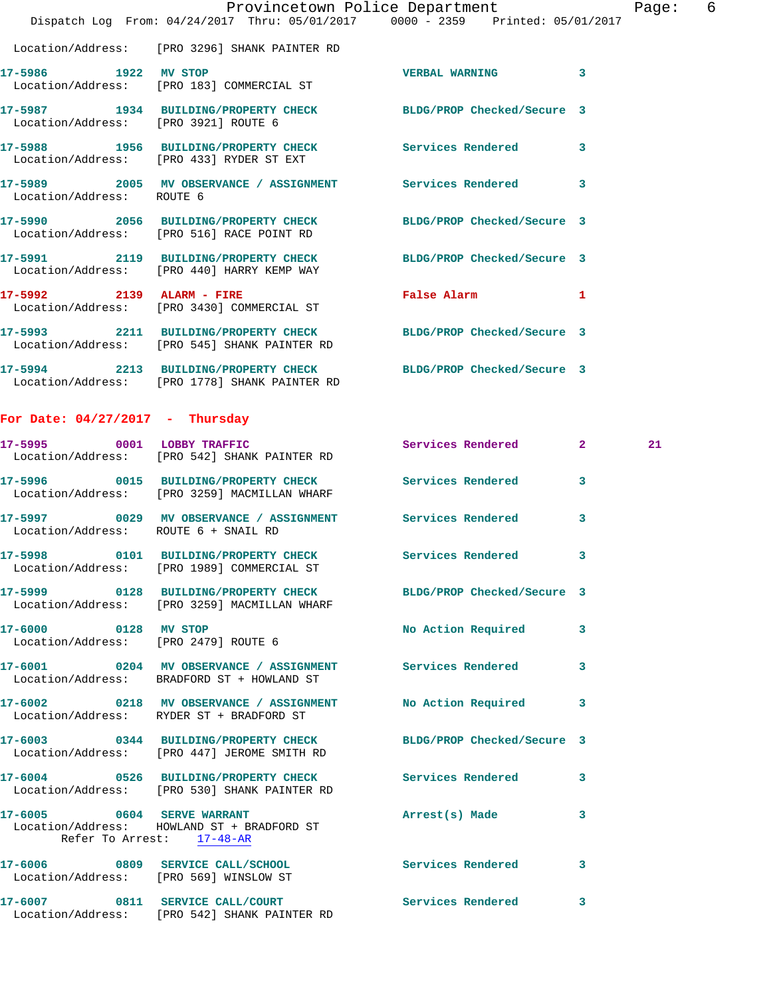|                           | Dispatch Log From: 04/24/2017 Thru: 05/01/2017 0000 - 2359 Printed: 05/01/2017                                   | Provincetown Police Department | Page: 6                 |  |
|---------------------------|------------------------------------------------------------------------------------------------------------------|--------------------------------|-------------------------|--|
|                           | Location/Address: [PRO 3296] SHANK PAINTER RD                                                                    |                                |                         |  |
|                           | 17-5986 1922 MV STOP<br>Location/Address: [PRO 183] COMMERCIAL ST                                                | <b>VERBAL WARNING</b>          | $\overline{\mathbf{3}}$ |  |
|                           | 17-5987 1934 BUILDING/PROPERTY CHECK BLDG/PROP Checked/Secure 3<br>Location/Address: [PRO 3921] ROUTE 6          |                                |                         |  |
|                           | 17-5988 1956 BUILDING/PROPERTY CHECK Services Rendered<br>Location/Address: [PRO 433] RYDER ST EXT               |                                | $\overline{\mathbf{3}}$ |  |
| Location/Address: ROUTE 6 | 17-5989 2005 MV OBSERVANCE / ASSIGNMENT Services Rendered                                                        |                                | 3                       |  |
|                           | 17-5990 2056 BUILDING/PROPERTY CHECK BLDG/PROP Checked/Secure 3<br>Location/Address: [PRO 516] RACE POINT RD     |                                |                         |  |
|                           | 17-5991 2119 BUILDING/PROPERTY CHECK BLDG/PROP Checked/Secure 3<br>Location/Address: [PRO 440] HARRY KEMP WAY    |                                |                         |  |
|                           | 17-5992 2139 ALARM - FIRE<br>Location/Address: [PRO 3430] COMMERCIAL ST                                          | <b>False Alarm</b>             | 1                       |  |
|                           | 17-5993 2211 BUILDING/PROPERTY CHECK BLDG/PROP Checked/Secure 3<br>Location/Address: [PRO 545] SHANK PAINTER RD  |                                |                         |  |
|                           | 17-5994 2213 BUILDING/PROPERTY CHECK BLDG/PROP Checked/Secure 3<br>Location/Address: [PRO 1778] SHANK PAINTER RD |                                |                         |  |
|                           |                                                                                                                  |                                |                         |  |

## **For Date: 04/27/2017 - Thursday**

|                                                              | 17-5995 0001 LOBBY TRAFFIC<br>Location/Address: [PRO 542] SHANK PAINTER RD                                      | Services Rendered 2       |                         | 21 |
|--------------------------------------------------------------|-----------------------------------------------------------------------------------------------------------------|---------------------------|-------------------------|----|
|                                                              | 17-5996 0015 BUILDING/PROPERTY CHECK Services Rendered<br>Location/Address: [PRO 3259] MACMILLAN WHARF          |                           | $\overline{\mathbf{3}}$ |    |
| Location/Address: ROUTE 6 + SNAIL RD                         | 17-5997 6029 MV OBSERVANCE / ASSIGNMENT Services Rendered                                                       |                           | 3                       |    |
|                                                              | 17-5998 0101 BUILDING/PROPERTY CHECK Services Rendered<br>Location/Address: [PRO 1989] COMMERCIAL ST            |                           | 3                       |    |
|                                                              | 17-5999 0128 BUILDING/PROPERTY CHECK BLDG/PROP Checked/Secure 3<br>Location/Address: [PRO 3259] MACMILLAN WHARF |                           |                         |    |
| 17-6000 0128 MV STOP<br>Location/Address: [PRO 2479] ROUTE 6 |                                                                                                                 | <b>No Action Required</b> | $\overline{\mathbf{3}}$ |    |
|                                                              | 17-6001 0204 MV OBSERVANCE / ASSIGNMENT Services Rendered<br>Location/Address: BRADFORD ST + HOWLAND ST         |                           | $\overline{\mathbf{3}}$ |    |
|                                                              | 17-6002 0218 MV OBSERVANCE / ASSIGNMENT No Action Required 3<br>Location/Address: RYDER ST + BRADFORD ST        |                           |                         |    |
|                                                              | 17-6003 0344 BUILDING/PROPERTY CHECK BLDG/PROP Checked/Secure 3<br>Location/Address: [PRO 447] JEROME SMITH RD  |                           |                         |    |
|                                                              | 17-6004 0526 BUILDING/PROPERTY CHECK Services Rendered<br>Location/Address: [PRO 530] SHANK PAINTER RD          |                           | 3                       |    |
| Refer To Arrest: 17-48-AR                                    | 17-6005 0604 SERVE WARRANT<br>Location/Address: HOWLAND ST + BRADFORD ST                                        | Arrest(s) Made            | 3                       |    |
| Location/Address: [PRO 569] WINSLOW ST                       | 17-6006 0809 SERVICE CALL/SCHOOL 5 Services Rendered                                                            |                           | 3                       |    |
|                                                              | 17-6007 0811 SERVICE CALL/COURT<br>Location/Address: [PRO 542] SHANK PAINTER RD                                 | Services Rendered         | $\overline{\mathbf{3}}$ |    |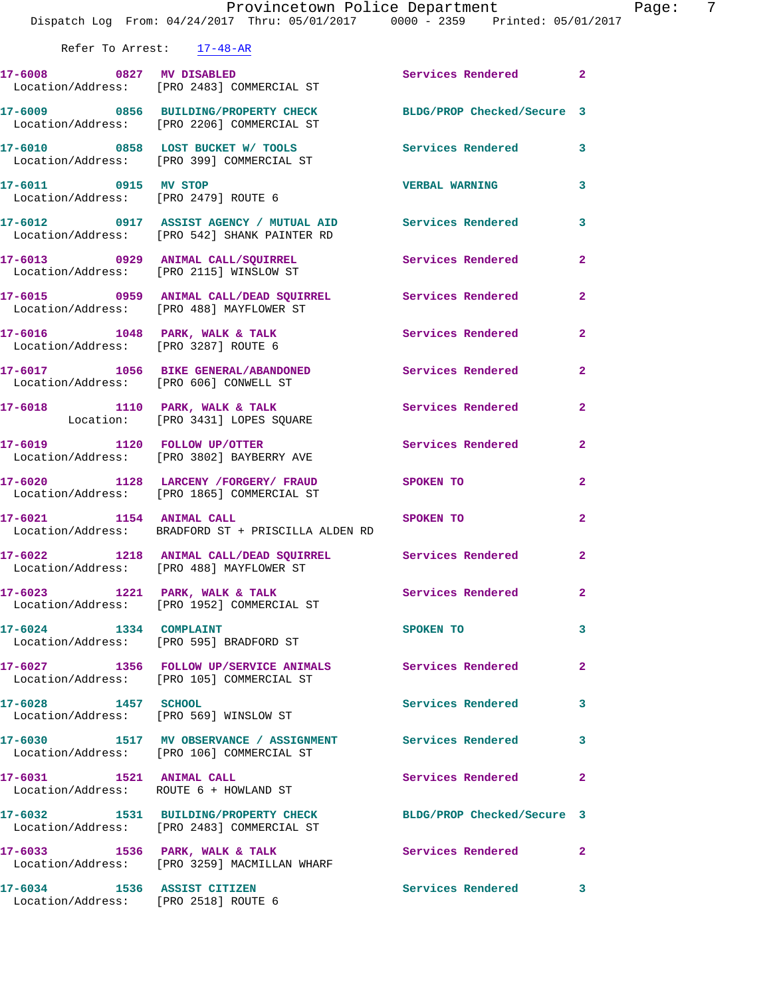|                             | Provincetown Police Department<br>Dispatch Log From: 04/24/2017 Thru: 05/01/2017 0000 - 2359 Printed: 05/01/2017 |                       | Page:<br>7     |
|-----------------------------|------------------------------------------------------------------------------------------------------------------|-----------------------|----------------|
| Refer To Arrest: 17-48-AR   |                                                                                                                  |                       |                |
|                             | 17-6008 0827 MV DISABLED Services Rendered 2<br>Location/Address: [PRO 2483] COMMERCIAL ST                       |                       |                |
|                             | 17-6009 0856 BUILDING/PROPERTY CHECK BLDG/PROP Checked/Secure 3<br>Location/Address: [PRO 2206] COMMERCIAL ST    |                       |                |
|                             | 17-6010 0858 LOST BUCKET W/ TOOLS Services Rendered 3<br>Location/Address: [PRO 399] COMMERCIAL ST               |                       |                |
| 17-6011 0915 MV STOP        | Location/Address: [PRO 2479] ROUTE 6                                                                             | <b>VERBAL WARNING</b> | $\mathbf{3}$   |
|                             | 17-6012 0917 ASSIST AGENCY / MUTUAL AID Services Rendered<br>Location/Address: [PRO 542] SHANK PAINTER RD        |                       | 3              |
|                             | 17-6013 0929 ANIMAL CALL/SQUIRREL Services Rendered<br>Location/Address: [PRO 2115] WINSLOW ST                   |                       | $\overline{2}$ |
|                             | 17-6015 0959 ANIMAL CALL/DEAD SQUIRREL Services Rendered<br>Location/Address: [PRO 488] MAYFLOWER ST             |                       | $\mathbf{2}$   |
|                             | 17-6016 1048 PARK, WALK & TALK 1988 Services Rendered<br>Location/Address: [PRO 3287] ROUTE 6                    |                       | $\overline{2}$ |
|                             | 17-6017 1056 BIKE GENERAL/ABANDONED Services Rendered<br>Location/Address: [PRO 606] CONWELL ST                  |                       | $\mathbf{2}$   |
|                             | 17-6018 1110 PARK, WALK & TALK 1988 Services Rendered<br>Location: [PRO 3431] LOPES SQUARE                       |                       | $\mathbf{2}$   |
|                             | 17-6019 1120 FOLLOW UP/OTTER<br>Location/Address: [PRO 3802] BAYBERRY AVE                                        | Services Rendered     | $\mathbf{2}$   |
|                             | 17-6020 1128 LARCENY /FORGERY / FRAUD SPOKEN TO<br>Location/Address: [PRO 1865] COMMERCIAL ST                    |                       | $\mathbf{2}$   |
|                             | 17-6021 1154 ANIMAL CALL SPOKEN TO<br>Location/Address: BRADFORD ST + PRISCILLA ALDEN RD                         |                       | $\overline{2}$ |
|                             | 17-6022 1218 ANIMAL CALL/DEAD SQUIRREL Services Rendered<br>Location/Address: [PRO 488] MAYFLOWER ST             |                       |                |
|                             | 17-6023 1221 PARK, WALK & TALK 3 Services Rendered<br>Location/Address: [PRO 1952] COMMERCIAL ST                 |                       | $\overline{2}$ |
| 17-6024 1334 COMPLAINT      | Location/Address: [PRO 595] BRADFORD ST                                                                          | SPOKEN TO             | 3              |
|                             | 17-6027 1356 FOLLOW UP/SERVICE ANIMALS Services Rendered<br>Location/Address: [PRO 105] COMMERCIAL ST            |                       | $\mathbf{2}$   |
| 17-6028 1457 SCHOOL         | Location/Address: [PRO 569] WINSLOW ST                                                                           | Services Rendered     | 3              |
|                             | 17-6030 1517 MV OBSERVANCE / ASSIGNMENT Services Rendered<br>Location/Address: [PRO 106] COMMERCIAL ST           |                       | 3              |
| 17-6031 1521 ANIMAL CALL    | Location/Address: ROUTE 6 + HOWLAND ST                                                                           | Services Rendered     | $\mathbf{2}$   |
|                             | 17-6032 1531 BUILDING/PROPERTY CHECK BLDG/PROP Checked/Secure 3<br>Location/Address: [PRO 2483] COMMERCIAL ST    |                       |                |
|                             | 17-6033 1536 PARK, WALK & TALK<br>Location/Address: [PRO 3259] MACMILLAN WHARF                                   | Services Rendered     | $\mathbf{2}$   |
| 17-6034 1536 ASSIST CITIZEN |                                                                                                                  | Services Rendered     | 3              |

Location/Address: [PRO 2518] ROUTE 6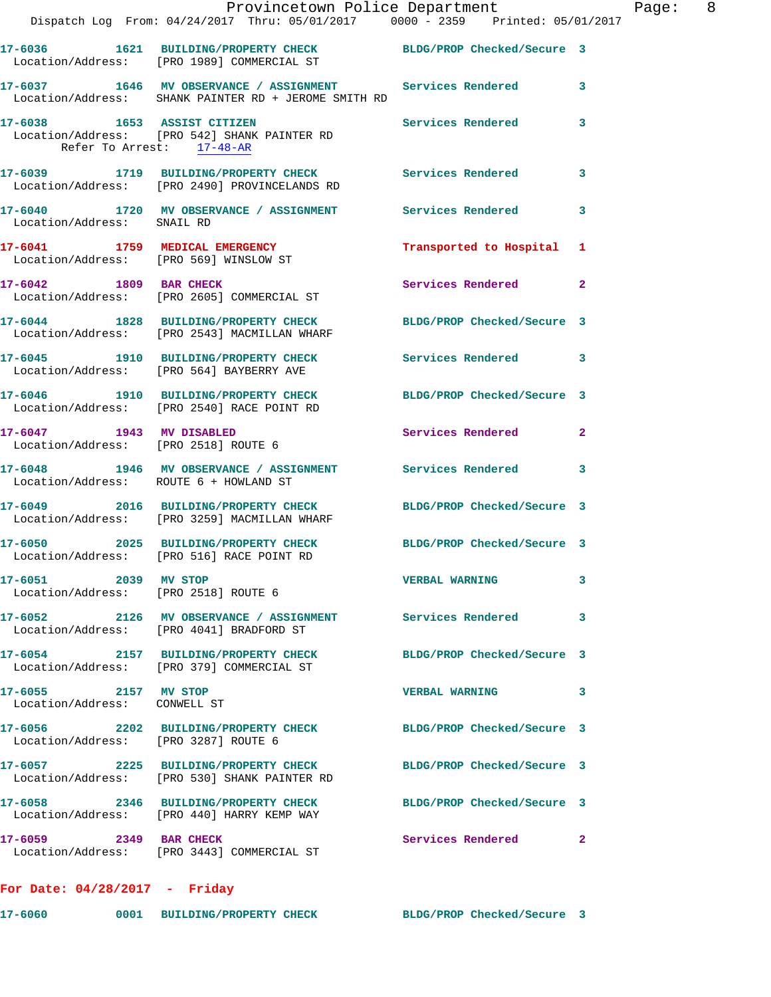|                                                                          | Provincetown Police Department<br>Dispatch Log From: 04/24/2017 Thru: 05/01/2017 0000 - 2359 Printed: 05/01/2017  |                            |                |
|--------------------------------------------------------------------------|-------------------------------------------------------------------------------------------------------------------|----------------------------|----------------|
|                                                                          | 17-6036 1621 BUILDING/PROPERTY CHECK BLDG/PROP Checked/Secure 3<br>Location/Address: [PRO 1989] COMMERCIAL ST     |                            |                |
|                                                                          | 17-6037 1646 MV OBSERVANCE / ASSIGNMENT Services Rendered<br>Location/Address: SHANK PAINTER RD + JEROME SMITH RD |                            | 3              |
| Refer To Arrest: 17-48-AR                                                | 17-6038 1653 ASSIST CITIZEN<br>Location/Address: [PRO 542] SHANK PAINTER RD                                       | <b>Services Rendered</b>   | 3              |
|                                                                          | 17-6039 1719 BUILDING/PROPERTY CHECK Services Rendered<br>Location/Address: [PRO 2490] PROVINCELANDS RD           |                            | 3              |
| Location/Address: SNAIL RD                                               | 17-6040 1720 MV OBSERVANCE / ASSIGNMENT Services Rendered                                                         |                            | 3              |
| 17-6041 1759 MEDICAL EMERGENCY<br>Location/Address: [PRO 569] WINSLOW ST |                                                                                                                   | Transported to Hospital    | 1              |
| 17-6042 1809 BAR CHECK                                                   | Location/Address: [PRO 2605] COMMERCIAL ST                                                                        | Services Rendered          | $\overline{a}$ |
|                                                                          | 17-6044 1828 BUILDING/PROPERTY CHECK BLDG/PROP Checked/Secure 3<br>Location/Address: [PRO 2543] MACMILLAN WHARF   |                            |                |
|                                                                          | 17-6045 1910 BUILDING/PROPERTY CHECK Services Rendered<br>Location/Address: [PRO 564] BAYBERRY AVE                |                            | 3              |
|                                                                          | 17-6046 1910 BUILDING/PROPERTY CHECK BLDG/PROP Checked/Secure 3<br>Location/Address: [PRO 2540] RACE POINT RD     |                            |                |
| 17-6047 1943 MV DISABLED<br>Location/Address: [PRO 2518] ROUTE 6         |                                                                                                                   | Services Rendered          | $\mathbf{2}$   |
| Location/Address: ROUTE 6 + HOWLAND ST                                   | 17-6048 1946 MV OBSERVANCE / ASSIGNMENT Services Rendered                                                         |                            | 3              |
|                                                                          | 17-6049 2016 BUILDING/PROPERTY CHECK BLDG/PROP Checked/Secure 3<br>Location/Address: [PRO 3259] MACMILLAN WHARF   |                            |                |
|                                                                          | 17-6050 2025 BUILDING/PROPERTY CHECK BLDG/PROP Checked/Secure 3<br>Location/Address: [PRO 516] RACE POINT RD      |                            |                |
| 17-6051 2039 MV STOP<br>Location/Address: [PRO 2518] ROUTE 6             |                                                                                                                   | <b>VERBAL WARNING</b>      | 3              |
|                                                                          | 17-6052 2126 MV OBSERVANCE / ASSIGNMENT Services Rendered<br>Location/Address: [PRO 4041] BRADFORD ST             |                            | 3              |
|                                                                          | 17-6054 2157 BUILDING/PROPERTY CHECK<br>Location/Address: [PRO 379] COMMERCIAL ST                                 | BLDG/PROP Checked/Secure 3 |                |
| 17-6055 2157 MV STOP<br>Location/Address: CONWELL ST                     |                                                                                                                   | <b>VERBAL WARNING</b>      | 3              |
| Location/Address: [PRO 3287] ROUTE 6                                     | 17-6056 2202 BUILDING/PROPERTY CHECK BLDG/PROP Checked/Secure 3                                                   |                            |                |
|                                                                          | 17-6057 2225 BUILDING/PROPERTY CHECK BLDG/PROP Checked/Secure 3<br>Location/Address: [PRO 530] SHANK PAINTER RD   |                            |                |
|                                                                          | 17-6058 2346 BUILDING/PROPERTY CHECK BLDG/PROP Checked/Secure 3<br>Location/Address: [PRO 440] HARRY KEMP WAY     |                            |                |
| 17-6059 2349 BAR CHECK                                                   | Location/Address: [PRO 3443] COMMERCIAL ST                                                                        | Services Rendered          | 2              |
| For Date: $04/28/2017$ - Friday                                          |                                                                                                                   |                            |                |

**17-6060 0001 BUILDING/PROPERTY CHECK BLDG/PROP Checked/Secure 3** 

Page:  $8$ <br>017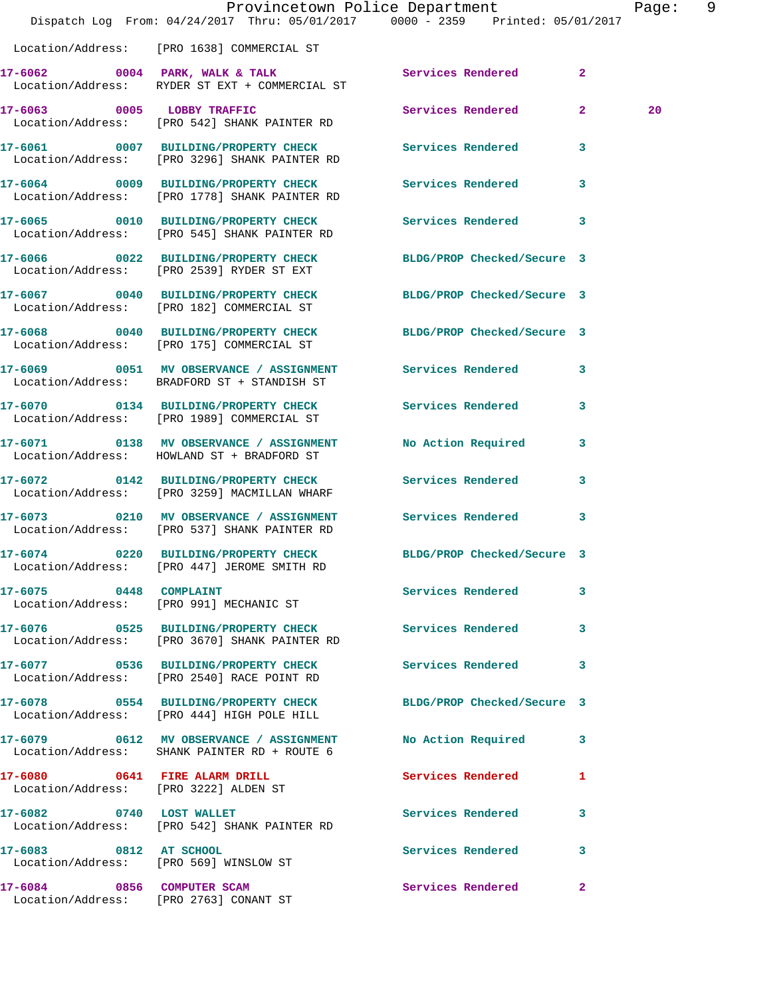|                                                                      | Dispatch Log From: 04/24/2017 Thru: 05/01/2017 0000 - 2359 Printed: 05/01/2017                                 | Provincetown Police Department |                | Page: 9 |  |
|----------------------------------------------------------------------|----------------------------------------------------------------------------------------------------------------|--------------------------------|----------------|---------|--|
|                                                                      | Location/Address: [PRO 1638] COMMERCIAL ST                                                                     |                                |                |         |  |
|                                                                      | 17-6062 0004 PARK, WALK & TALK Services Rendered<br>Location/Address: RYDER ST EXT + COMMERCIAL ST             |                                | $\overline{2}$ |         |  |
|                                                                      | 17-6063 0005 LOBBY TRAFFIC<br>Location/Address: [PRO 542] SHANK PAINTER RD                                     | Services Rendered 2            |                | 20      |  |
|                                                                      | 17-6061 0007 BUILDING/PROPERTY CHECK Services Rendered 3<br>Location/Address: [PRO 3296] SHANK PAINTER RD      |                                |                |         |  |
|                                                                      | 17-6064 0009 BUILDING/PROPERTY CHECK<br>Location/Address: [PRO 1778] SHANK PAINTER RD                          | <b>Services Rendered</b>       | 3              |         |  |
|                                                                      | 17-6065 0010 BUILDING/PROPERTY CHECK Services Rendered 3<br>Location/Address: [PRO 545] SHANK PAINTER RD       |                                |                |         |  |
|                                                                      | 17-6066 0022 BUILDING/PROPERTY CHECK<br>Location/Address: [PRO 2539] RYDER ST EXT                              | BLDG/PROP Checked/Secure 3     |                |         |  |
|                                                                      | 17-6067 0040 BUILDING/PROPERTY CHECK BLDG/PROP Checked/Secure 3<br>Location/Address: [PRO 182] COMMERCIAL ST   |                                |                |         |  |
|                                                                      | 17-6068 0040 BUILDING/PROPERTY CHECK<br>Location/Address: [PRO 175] COMMERCIAL ST                              | BLDG/PROP Checked/Secure 3     |                |         |  |
|                                                                      | 17-6069 6051 MV OBSERVANCE / ASSIGNMENT Services Rendered<br>Location/Address: BRADFORD ST + STANDISH ST       |                                | 3              |         |  |
|                                                                      | 17-6070 0134 BUILDING/PROPERTY CHECK<br>Location/Address: [PRO 1989] COMMERCIAL ST                             | <b>Services Rendered</b>       | $\mathbf{3}$   |         |  |
|                                                                      | 17-6071 0138 MV OBSERVANCE / ASSIGNMENT<br>Location/Address: HOWLAND ST + BRADFORD ST                          | No Action Required             | 3              |         |  |
|                                                                      | 17-6072 0142 BUILDING/PROPERTY CHECK Services Rendered<br>Location/Address: [PRO 3259] MACMILLAN WHARF         |                                | $\mathbf{3}$   |         |  |
|                                                                      | 17-6073 0210 MV OBSERVANCE / ASSIGNMENT Services Rendered<br>Location/Address: [PRO 537] SHANK PAINTER RD      |                                | 3              |         |  |
|                                                                      | 17-6074 0220 BUILDING/PROPERTY CHECK BLDG/PROP Checked/Secure 3<br>Location/Address: [PRO 447] JEROME SMITH RD |                                |                |         |  |
| 17-6075 0448 COMPLAINT                                               | Location/Address: [PRO 991] MECHANIC ST                                                                        | Services Rendered 3            |                |         |  |
|                                                                      | 17-6076 		 0525 BUILDING/PROPERTY CHECK Services Rendered 3<br>Location/Address: [PRO 3670] SHANK PAINTER RD   |                                |                |         |  |
|                                                                      | 17-6077 0536 BUILDING/PROPERTY CHECK Services Rendered 3<br>Location/Address: [PRO 2540] RACE POINT RD         |                                |                |         |  |
|                                                                      | 17-6078 0554 BUILDING/PROPERTY CHECK<br>Location/Address: [PRO 444] HIGH POLE HILL                             | BLDG/PROP Checked/Secure 3     |                |         |  |
|                                                                      | 17-6079 0612 MV OBSERVANCE / ASSIGNMENT<br>Location/Address: SHANK PAINTER RD + ROUTE 6                        | No Action Required             | $\mathbf{3}$   |         |  |
| 17-6080 0641 FIRE ALARM DRILL                                        | Location/Address: [PRO 3222] ALDEN ST                                                                          | Services Rendered 1            |                |         |  |
| 17-6082 0740 LOST WALLET                                             | Location/Address: [PRO 542] SHANK PAINTER RD                                                                   | Services Rendered              | 3              |         |  |
| 17-6083 0812 AT SCHOOL<br>Location/Address: [PRO 569] WINSLOW ST     |                                                                                                                | Services Rendered 3            |                |         |  |
| 17-6084 0856 COMPUTER SCAM<br>Location/Address: [PRO 2763] CONANT ST |                                                                                                                | Services Rendered              | $\mathbf{2}$   |         |  |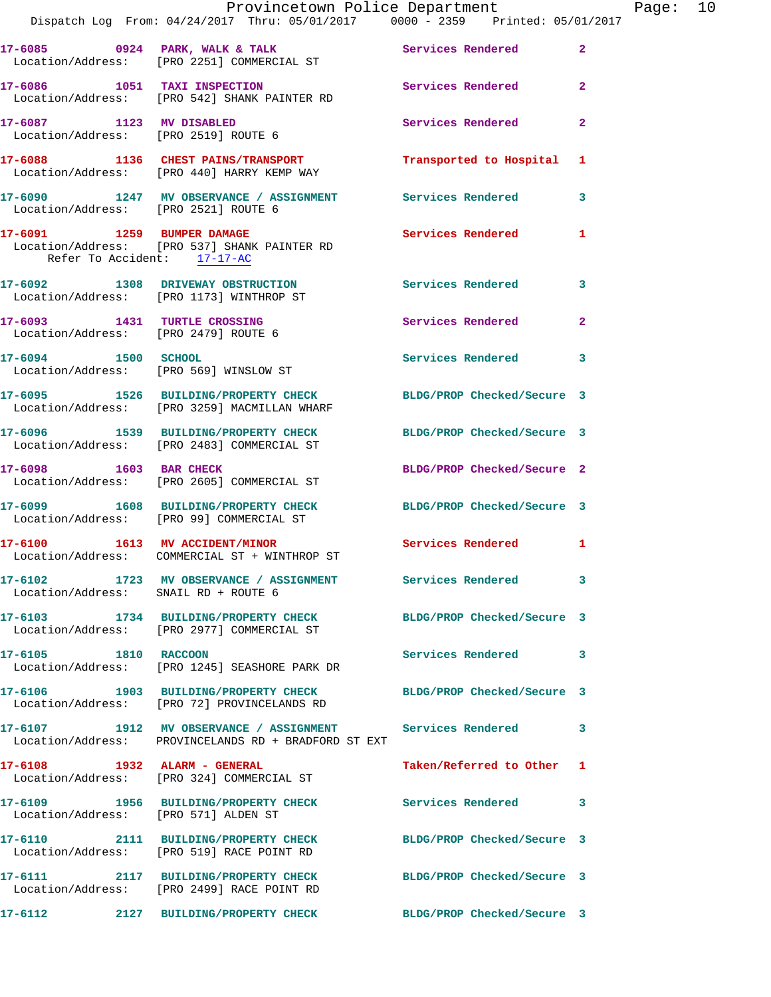|                                      | Dispatch Log From: 04/24/2017 Thru: 05/01/2017 0000 - 2359 Printed: 05/01/2017                                      | Provincetown Police Department |              | Page: 10 |  |
|--------------------------------------|---------------------------------------------------------------------------------------------------------------------|--------------------------------|--------------|----------|--|
|                                      | 17-6085 0924 PARK, WALK & TALK 3 Services Rendered 2<br>Location/Address: [PRO 2251] COMMERCIAL ST                  |                                |              |          |  |
|                                      | 17-6086 1051 TAXI INSPECTION Services Rendered 2<br>Location/Address: [PRO 542] SHANK PAINTER RD                    |                                |              |          |  |
|                                      | 17-6087 1123 MV DISABLED<br>Location/Address: [PRO 2519] ROUTE 6                                                    | Services Rendered              | $\mathbf{2}$ |          |  |
|                                      | 17-6088 1136 CHEST PAINS/TRANSPORT Transported to Hospital 1<br>Location/Address: [PRO 440] HARRY KEMP WAY          |                                |              |          |  |
| Location/Address: [PRO 2521] ROUTE 6 | 17-6090 1247 MV OBSERVANCE / ASSIGNMENT Services Rendered 3                                                         |                                |              |          |  |
| Refer To Accident: 17-17-AC          | 17-6091 1259 BUMPER DAMAGE<br>Location/Address: [PRO 537] SHANK PAINTER RD                                          | <b>Services Rendered</b>       | $\mathbf{1}$ |          |  |
|                                      | 17-6092 1308 DRIVEWAY OBSTRUCTION 5ervices Rendered 3<br>Location/Address: [PRO 1173] WINTHROP ST                   |                                |              |          |  |
| Location/Address: [PRO 2479] ROUTE 6 | 17-6093 1431 TURTLE CROSSING                                                                                        | Services Rendered              | $\mathbf{2}$ |          |  |
| 17-6094 1500 SCHOOL                  | Location/Address: [PRO 569] WINSLOW ST                                                                              | Services Rendered 3            |              |          |  |
|                                      | 17-6095 1526 BUILDING/PROPERTY CHECK BLDG/PROP Checked/Secure 3<br>Location/Address: [PRO 3259] MACMILLAN WHARF     |                                |              |          |  |
|                                      | 17-6096 1539 BUILDING/PROPERTY CHECK BLDG/PROP Checked/Secure 3<br>Location/Address: [PRO 2483] COMMERCIAL ST       |                                |              |          |  |
|                                      | 17-6098 1603 BAR CHECK<br>Location/Address: [PRO 2605] COMMERCIAL ST                                                | BLDG/PROP Checked/Secure 2     |              |          |  |
|                                      | 17-6099 1608 BUILDING/PROPERTY CHECK BLDG/PROP Checked/Secure 3<br>Location/Address: [PRO 99] COMMERCIAL ST         |                                |              |          |  |
|                                      | 17-6100 1613 MV ACCIDENT/MINOR<br>Location/Address: COMMERCIAL ST + WINTHROP ST                                     | Services Rendered 1            |              |          |  |
| Location/Address: SNAIL RD + ROUTE 6 | 17-6102 1723 MV OBSERVANCE / ASSIGNMENT Services Rendered 3                                                         |                                |              |          |  |
|                                      | 17-6103 1734 BUILDING/PROPERTY CHECK BLDG/PROP Checked/Secure 3<br>Location/Address: [PRO 2977] COMMERCIAL ST       |                                |              |          |  |
| 17-6105 1810 RACCOON                 | Location/Address: [PRO 1245] SEASHORE PARK DR                                                                       | Services Rendered 3            |              |          |  |
|                                      | 17-6106 1903 BUILDING/PROPERTY CHECK<br>Location/Address: [PRO 72] PROVINCELANDS RD                                 | BLDG/PROP Checked/Secure 3     |              |          |  |
|                                      | 17-6107 1912 MV OBSERVANCE / ASSIGNMENT Services Rendered 3<br>Location/Address: PROVINCELANDS RD + BRADFORD ST EXT |                                |              |          |  |
|                                      | 17-6108 1932 ALARM - GENERAL<br>Location/Address: [PRO 324] COMMERCIAL ST                                           | Taken/Referred to Other 1      |              |          |  |
| Location/Address: [PRO 571] ALDEN ST | 17-6109 1956 BUILDING/PROPERTY CHECK Services Rendered 3                                                            |                                |              |          |  |
|                                      | 17-6110 2111 BUILDING/PROPERTY CHECK BLDG/PROP Checked/Secure 3<br>Location/Address: [PRO 519] RACE POINT RD        |                                |              |          |  |
|                                      | 17-6111 2117 BUILDING/PROPERTY CHECK BLDG/PROP Checked/Secure 3<br>Location/Address: [PRO 2499] RACE POINT RD       |                                |              |          |  |
| 17-6112                              | 2127 BUILDING/PROPERTY CHECK                                                                                        | BLDG/PROP Checked/Secure 3     |              |          |  |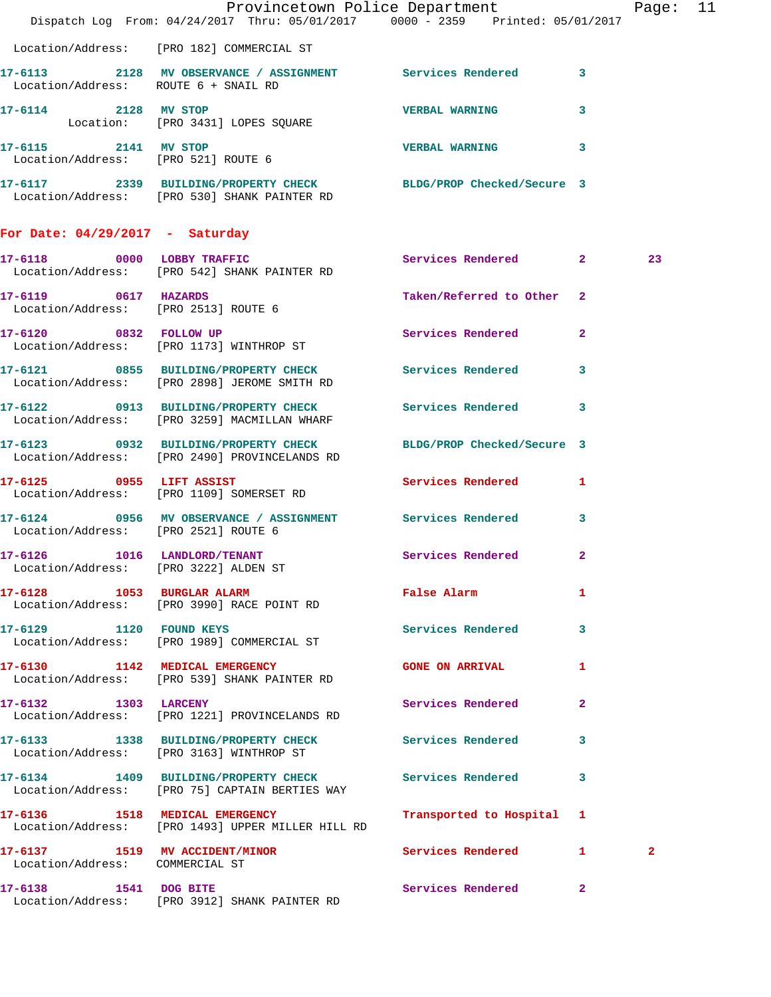|                                                                   | Dispatch Log From: 04/24/2017 Thru: 05/01/2017 0000 - 2359 Printed: 05/01/2017                                  | Provincetown Police Department                   | Page: 11     |  |
|-------------------------------------------------------------------|-----------------------------------------------------------------------------------------------------------------|--------------------------------------------------|--------------|--|
|                                                                   | Location/Address: [PRO 182] COMMERCIAL ST                                                                       |                                                  |              |  |
| Location/Address: ROUTE 6 + SNAIL RD                              | 17-6113 2128 MV OBSERVANCE / ASSIGNMENT Services Rendered 3                                                     |                                                  |              |  |
| 17-6114 2128 MV STOP                                              | Location: [PRO 3431] LOPES SQUARE                                                                               | <b>VERBAL WARNING</b><br>3                       |              |  |
| 17-6115 2141 MV STOP                                              | Location/Address: [PRO 521] ROUTE 6                                                                             | VERBAL WARNING 3                                 |              |  |
|                                                                   | 17-6117 2339 BUILDING/PROPERTY CHECK BLDG/PROP Checked/Secure 3<br>Location/Address: [PRO 530] SHANK PAINTER RD |                                                  |              |  |
| For Date: $04/29/2017$ - Saturday                                 |                                                                                                                 |                                                  |              |  |
|                                                                   | 17-6118 0000 LOBBY TRAFFIC<br>Location/Address: [PRO 542] SHANK PAINTER RD                                      | Services Rendered 2                              | 23           |  |
| 17-6119 0617 HAZARDS                                              | Location/Address: [PRO 2513] ROUTE 6                                                                            | Taken/Referred to Other 2                        |              |  |
|                                                                   | 17-6120 0832 FOLLOW UP<br>Location/Address: [PRO 1173] WINTHROP ST                                              | <b>Services Rendered</b><br>$\mathbf{2}$         |              |  |
|                                                                   | 17-6121 0855 BUILDING/PROPERTY CHECK Services Rendered<br>Location/Address: [PRO 2898] JEROME SMITH RD          | 3                                                |              |  |
|                                                                   | 17-6122 0913 BUILDING/PROPERTY CHECK Services Rendered 3<br>Location/Address: [PRO 3259] MACMILLAN WHARF        |                                                  |              |  |
|                                                                   | 17-6123 0932 BUILDING/PROPERTY CHECK<br>Location/Address: [PRO 2490] PROVINCELANDS RD                           | BLDG/PROP Checked/Secure 3                       |              |  |
|                                                                   | 17-6125 0955 LIFT ASSIST<br>Location/Address: [PRO 1109] SOMERSET RD                                            | Services Rendered 1                              |              |  |
| Location/Address: [PRO 2521] ROUTE 6                              | 17-6124 0956 MV OBSERVANCE / ASSIGNMENT Services Rendered                                                       | 3                                                |              |  |
|                                                                   | 17-6126 1016 LANDLORD/TENANT Services Rendered 2<br>Location/Address: [PRO 3222] ALDEN ST                       |                                                  |              |  |
|                                                                   | 17-6128 1053 BURGLAR ALARM<br>Location/Address: [PRO 3990] RACE POINT RD                                        | False Alarm <b>Exercise Service Service</b><br>1 |              |  |
| 17-6129 1120 FOUND KEYS                                           | Location/Address: [PRO 1989] COMMERCIAL ST                                                                      | Services Rendered<br>3                           |              |  |
|                                                                   | 17-6130 1142 MEDICAL EMERGENCY<br>Location/Address: [PRO 539] SHANK PAINTER RD                                  | <b>GONE ON ARRIVAL</b><br>1                      |              |  |
| 17-6132 1303 LARCENY                                              | Location/Address: [PRO 1221] PROVINCELANDS RD                                                                   | Services Rendered<br>$\mathbf{2}$                |              |  |
|                                                                   | 17-6133 1338 BUILDING/PROPERTY CHECK<br>Location/Address: [PRO 3163] WINTHROP ST                                | Services Rendered<br>3                           |              |  |
|                                                                   | 17-6134 1409 BUILDING/PROPERTY CHECK Services Rendered<br>Location/Address: [PRO 75] CAPTAIN BERTIES WAY        | 3                                                |              |  |
|                                                                   | 17-6136 1518 MEDICAL EMERGENCY<br>Location/Address: [PRO 1493] UPPER MILLER HILL RD                             | Transported to Hospital 1                        |              |  |
| 17-6137 1519 MV ACCIDENT/MINOR<br>Location/Address: COMMERCIAL ST |                                                                                                                 | <b>Services Rendered</b> 1                       | $\mathbf{2}$ |  |
| 17-6138 1541 DOG BITE                                             | Location/Address: [PRO 3912] SHANK PAINTER RD                                                                   | Services Rendered<br>$\mathbf{2}$                |              |  |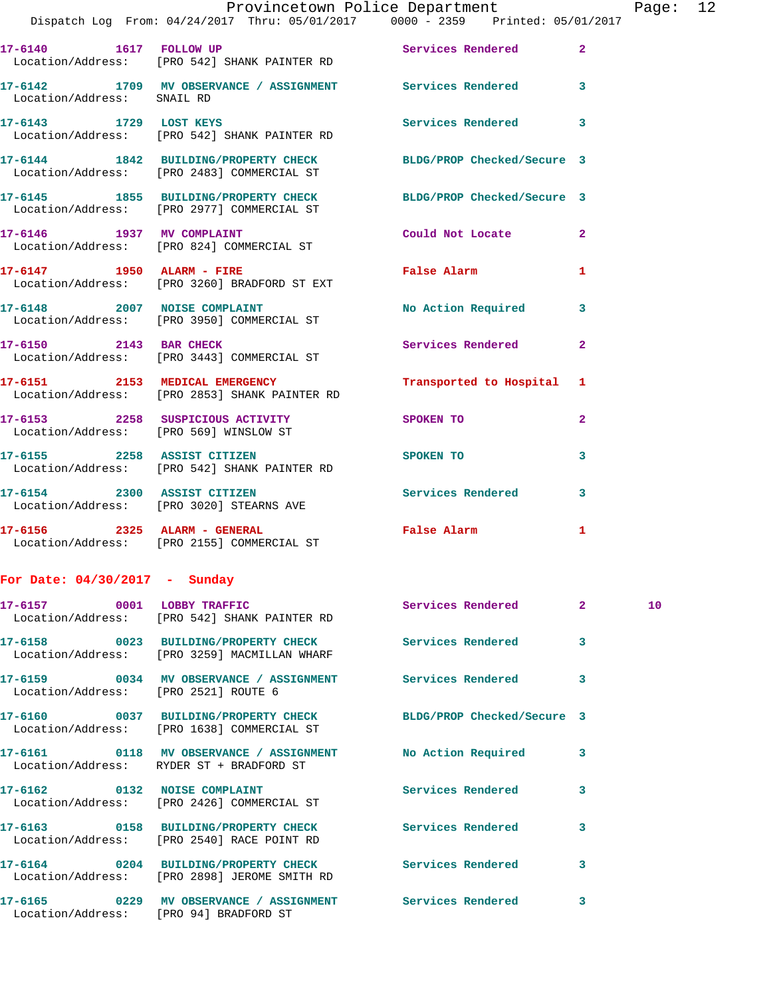|                                   |  | Provincetown Police Department  | Page: 12 |  |
|-----------------------------------|--|---------------------------------|----------|--|
| rom: 04/24/2017  Thru: 05/01/2017 |  | 0000 - 2359 Printed: 05/01/2017 |          |  |

|                                        | Dispatch Log From: 04/24/2017 Thru: 05/01/2017 0000 - 2359 Printed: 05/01/2                                   |                            |                         |
|----------------------------------------|---------------------------------------------------------------------------------------------------------------|----------------------------|-------------------------|
| 17-6140   1617   FOLLOW UP             | Location/Address: [PRO 542] SHANK PAINTER RD                                                                  | <b>Services Rendered</b>   | $\mathbf{2}$            |
|                                        | 17-6142 1709 MV OBSERVANCE / ASSIGNMENT Services Rendered<br>Location/Address: SNAIL RD                       |                            | $\overline{\mathbf{3}}$ |
| 17-6143 1729 LOST KEYS                 | Location/Address: [PRO 542] SHANK PAINTER RD                                                                  | <b>Services Rendered</b>   | 3                       |
|                                        | 17-6144 1842 BUILDING/PROPERTY CHECK<br>Location/Address: [PRO 2483] COMMERCIAL ST                            | BLDG/PROP Checked/Secure 3 |                         |
|                                        | 17-6145 1855 BUILDING/PROPERTY CHECK BLDG/PROP Checked/Secure 3<br>Location/Address: [PRO 2977] COMMERCIAL ST |                            |                         |
|                                        | 17-6146 1937 MV COMPLAINT<br>Location/Address: [PRO 824] COMMERCIAL ST                                        | Could Not Locate           | $\overline{2}$          |
|                                        | Location/Address: [PRO 3260] BRADFORD ST EXT                                                                  | <b>False Alarm</b>         | 1                       |
| 17-6148 2007 NOISE COMPLAINT           | Location/Address: [PRO 3950] COMMERCIAL ST                                                                    | No Action Required         | 3                       |
|                                        | 17-6150 2143 BAR CHECK<br>Location/Address: [PRO 3443] COMMERCIAL ST                                          | Services Rendered          | $\overline{2}$          |
|                                        | 17-6151 2153 MEDICAL EMERGENCY<br>Location/Address: [PRO 2853] SHANK PAINTER RD                               | Transported to Hospital    | 1                       |
| Location/Address: [PRO 569] WINSLOW ST | 17-6153 2258 SUSPICIOUS ACTIVITY                                                                              | SPOKEN TO                  | $\overline{a}$          |
|                                        | 17-6155 2258 ASSIST CITIZEN<br>Location/Address: [PRO 542] SHANK PAINTER RD                                   | SPOKEN TO                  | 3                       |
|                                        | 17-6154 2300 ASSIST CITIZEN<br>Location/Address: [PRO 3020] STEARNS AVE                                       | <b>Services Rendered</b>   | 3                       |
|                                        | 17-6156 2325 ALARM - GENERAL<br>Location/Address: [PRO 2155] COMMERCIAL ST                                    | False Alarm                | 1                       |

## **For Date: 04/30/2017 - Sunday**

|                                        | 17-6157 0001 LOBBY TRAFFIC Services Rendered 2<br>Location/Address: [PRO 542] SHANK PAINTER RD                |                         | 10 <sub>1</sub> |
|----------------------------------------|---------------------------------------------------------------------------------------------------------------|-------------------------|-----------------|
|                                        | 17-6158 		 0023 BUILDING/PROPERTY CHECK Services Rendered<br>Location/Address: [PRO 3259] MACMILLAN WHARF     | $\overline{3}$          |                 |
| Location/Address: [PRO 2521] ROUTE 6   | 17-6159       0034   MV OBSERVANCE / ASSIGNMENT      Services Rendered                                        | $\overline{\mathbf{3}}$ |                 |
|                                        | 17-6160 0037 BUILDING/PROPERTY CHECK BLDG/PROP Checked/Secure 3<br>Location/Address: [PRO 1638] COMMERCIAL ST |                         |                 |
|                                        | Location/Address: RYDER ST + BRADFORD ST                                                                      | $\overline{\mathbf{3}}$ |                 |
|                                        | Location/Address: [PRO 2426] COMMERCIAL ST                                                                    | 3                       |                 |
|                                        | Location/Address: [PRO 2540] RACE POINT RD                                                                    | $\overline{\mathbf{3}}$ |                 |
|                                        | 17-6164 		 0204 BUILDING/PROPERTY CHECK Services Rendered<br>Location/Address: [PRO 2898] JEROME SMITH RD     | $\overline{\mathbf{3}}$ |                 |
| Location/Address: [PRO 94] BRADFORD ST |                                                                                                               | $\overline{\mathbf{3}}$ |                 |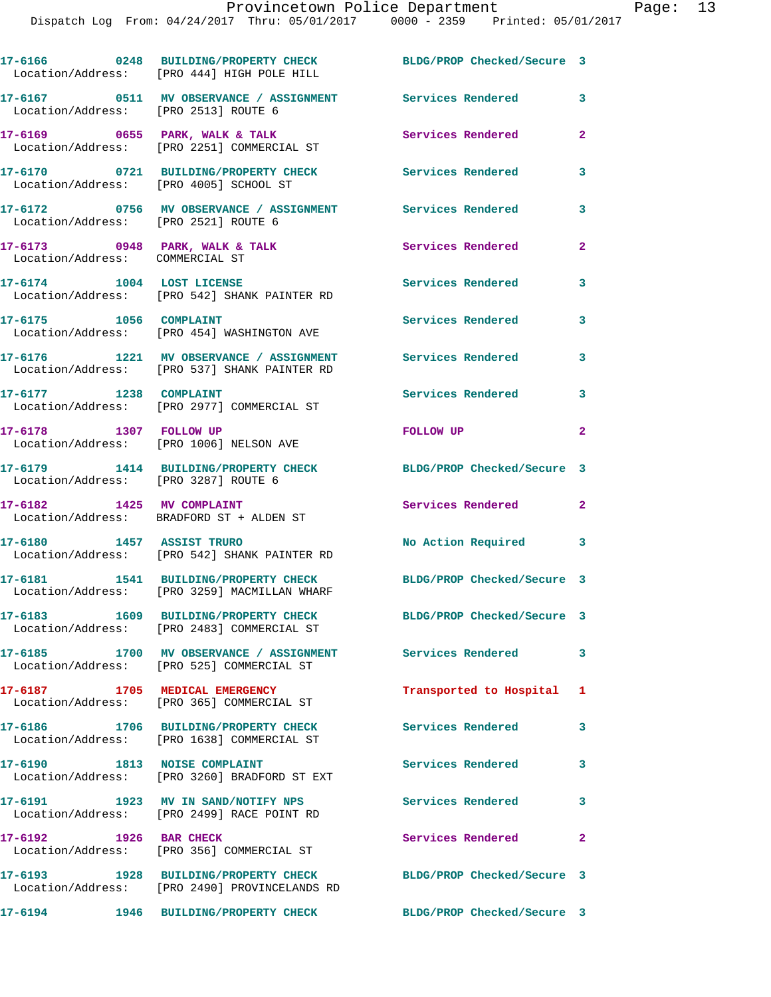|                                                                   | 17-6166 0248 BUILDING/PROPERTY CHECK<br>Location/Address: [PRO 444] HIGH POLE HILL      | BLDG/PROP Checked/Secure 3 |                |
|-------------------------------------------------------------------|-----------------------------------------------------------------------------------------|----------------------------|----------------|
| Location/Address: [PRO 2513] ROUTE 6                              | 17-6167 0511 MV OBSERVANCE / ASSIGNMENT Services Rendered                               |                            | $\mathbf{3}$   |
|                                                                   | 17-6169 0655 PARK, WALK & TALK<br>Location/Address: [PRO 2251] COMMERCIAL ST            | Services Rendered          | $\mathbf{2}$   |
| Location/Address: [PRO 4005] SCHOOL ST                            | 17-6170 0721 BUILDING/PROPERTY CHECK                                                    | Services Rendered          | $\mathbf{3}$   |
|                                                                   |                                                                                         |                            | 3              |
| 17-6173 0948 PARK, WALK & TALK<br>Location/Address: COMMERCIAL ST |                                                                                         | Services Rendered          | $\mathbf{2}$   |
| 17-6174 1004 LOST LICENSE                                         | Location/Address: [PRO 542] SHANK PAINTER RD                                            | Services Rendered          | 3              |
| 17-6175 1056 COMPLAINT                                            | Location/Address: [PRO 454] WASHINGTON AVE                                              | <b>Services Rendered</b>   | 3              |
|                                                                   | 17-6176 1221 MV OBSERVANCE / ASSIGNMENT<br>Location/Address: [PRO 537] SHANK PAINTER RD | <b>Services Rendered</b>   | 3              |
| 17-6177 1238 COMPLAINT                                            | Location/Address: [PRO 2977] COMMERCIAL ST                                              | Services Rendered          | 3              |
| 17-6178 1307 FOLLOW UP                                            | Location/Address: [PRO 1006] NELSON AVE                                                 | FOLLOW UP                  | $\overline{2}$ |
| Location/Address: [PRO 3287] ROUTE 6                              | 17-6179 1414 BUILDING/PROPERTY CHECK                                                    | BLDG/PROP Checked/Secure 3 |                |
| 17-6182 1425 MV COMPLAINT                                         | Location/Address: BRADFORD ST + ALDEN ST                                                | Services Rendered          | $\mathbf{2}$   |
| 17-6180 1457 ASSIST TRURO                                         | Location/Address: [PRO 542] SHANK PAINTER RD                                            | No Action Required         | 3              |
|                                                                   | 17-6181 1541 BUILDING/PROPERTY CHECK<br>Location/Address: [PRO 3259] MACMILLAN WHARF    | BLDG/PROP Checked/Secure 3 |                |
|                                                                   | Location/Address: [PRO 2483] COMMERCIAL ST                                              | BLDG/PROP Checked/Secure 3 |                |
| 17-6185                                                           | 1700 MV OBSERVANCE / ASSIGNMENT<br>Location/Address: [PRO 525] COMMERCIAL ST            | <b>Services Rendered</b>   | $\mathbf{3}$   |
|                                                                   | 17-6187 1705 MEDICAL EMERGENCY<br>Location/Address: [PRO 365] COMMERCIAL ST             | Transported to Hospital 1  |                |
|                                                                   | 17-6186 1706 BUILDING/PROPERTY CHECK<br>Location/Address: [PRO 1638] COMMERCIAL ST      | Services Rendered          | 3              |
| 17-6190 1813 NOISE COMPLAINT                                      | Location/Address: [PRO 3260] BRADFORD ST EXT                                            | Services Rendered          | $\mathbf{3}$   |
|                                                                   | 17-6191 1923 MV IN SAND/NOTIFY NPS<br>Location/Address: [PRO 2499] RACE POINT RD        | <b>Services Rendered</b>   | $\mathbf{3}$   |
| 17-6192 1926 BAR CHECK                                            | Location/Address: [PRO 356] COMMERCIAL ST                                               | Services Rendered          | $\mathbf{2}$   |
|                                                                   | 17-6193 1928 BUILDING/PROPERTY CHECK<br>Location/Address: [PRO 2490] PROVINCELANDS RD   | BLDG/PROP Checked/Secure 3 |                |
|                                                                   |                                                                                         | BLDG/PROP Checked/Secure 3 |                |